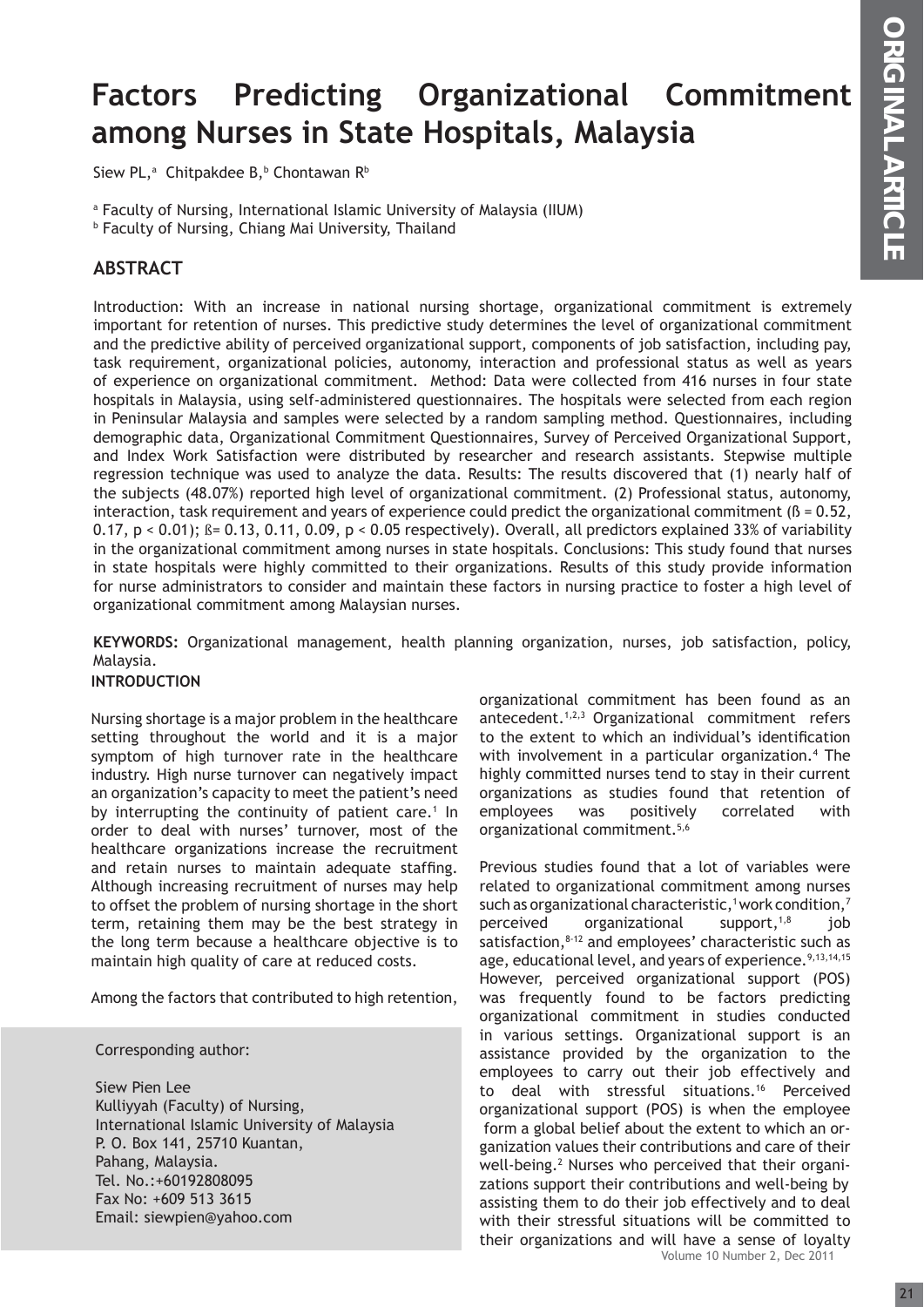# **Factors Predicting Organizational Commitment among Nurses in State Hospitals, Malaysia**

Siew PL,ª Chitpakdee B,<sup>b</sup> Chontawan R<sup>b</sup>

a Faculty of Nursing, International Islamic University of Malaysia (IIUM)

b Faculty of Nursing, Chiang Mai University, Thailand

# **ABSTRACT**

Introduction: With an increase in national nursing shortage, organizational commitment is extremely important for retention of nurses. This predictive study determines the level of organizational commitment and the predictive ability of perceived organizational support, components of job satisfaction, including pay, task requirement, organizational policies, autonomy, interaction and professional status as well as years of experience on organizational commitment. Method: Data were collected from 416 nurses in four state hospitals in Malaysia, using self-administered questionnaires. The hospitals were selected from each region in Peninsular Malaysia and samples were selected by a random sampling method. Questionnaires, including demographic data, Organizational Commitment Questionnaires, Survey of Perceived Organizational Support, and Index Work Satisfaction were distributed by researcher and research assistants. Stepwise multiple regression technique was used to analyze the data. Results: The results discovered that (1) nearly half of the subjects (48.07%) reported high level of organizational commitment. (2) Professional status, autonomy, interaction, task requirement and years of experience could predict the organizational commitment ( $\beta = 0.52$ , 0.17, p < 0.01);  $\beta$  = 0.13, 0.11, 0.09, p < 0.05 respectively). Overall, all predictors explained 33% of variability in the organizational commitment among nurses in state hospitals. Conclusions: This study found that nurses in state hospitals were highly committed to their organizations. Results of this study provide information for nurse administrators to consider and maintain these factors in nursing practice to foster a high level of organizational commitment among Malaysian nurses.

**KEYWORDS:** Organizational management, health planning organization, nurses, job satisfaction, policy, Malaysia.

# **INTRODUCTION**

Nursing shortage is a major problem in the healthcare setting throughout the world and it is a major symptom of high turnover rate in the healthcare industry. High nurse turnover can negatively impact an organization's capacity to meet the patient's need by interrupting the continuity of patient care.<sup>1</sup> In order to deal with nurses' turnover, most of the healthcare organizations increase the recruitment and retain nurses to maintain adequate staffing. Although increasing recruitment of nurses may help to offset the problem of nursing shortage in the short term, retaining them may be the best strategy in the long term because a healthcare objective is to maintain high quality of care at reduced costs.

Among the factors that contributed to high retention,

Corresponding author:

Siew Pien Lee Kulliyyah (Faculty) of Nursing, International Islamic University of Malaysia P. O. Box 141, 25710 Kuantan, Pahang, Malaysia. Tel. No.:+60192808095 Fax No: +609 513 3615 Email: siewpien@yahoo.com

organizational commitment has been found as an antecedent.1,2,3 Organizational commitment refers to the extent to which an individual's identification with involvement in a particular organization.<sup>4</sup> The highly committed nurses tend to stay in their current organizations as studies found that retention of employees was positively correlated with organizational commitment.5,6

Volume 10 Number 2, Dec 2011 Previous studies found that a lot of variables were related to organizational commitment among nurses such as organizational characteristic,<sup>1</sup> work condition,<sup>7</sup> perceived organizational support, $1,8$  job satisfaction, $8-12$  and employees' characteristic such as age, educational level, and years of experience.<sup>9,13,14,15</sup> However, perceived organizational support (POS) was frequently found to be factors predicting organizational commitment in studies conducted in various settings. Organizational support is an assistance provided by the organization to the employees to carry out their job effectively and to deal with stressful situations.<sup>16</sup> Perceived organizational support (POS) is when the employee form a global belief about the extent to which an organization values their contributions and care of their well-being.<sup>2</sup> Nurses who perceived that their organizations support their contributions and well-being by assisting them to do their job effectively and to deal with their stressful situations will be committed to their organizations and will have a sense of loyalty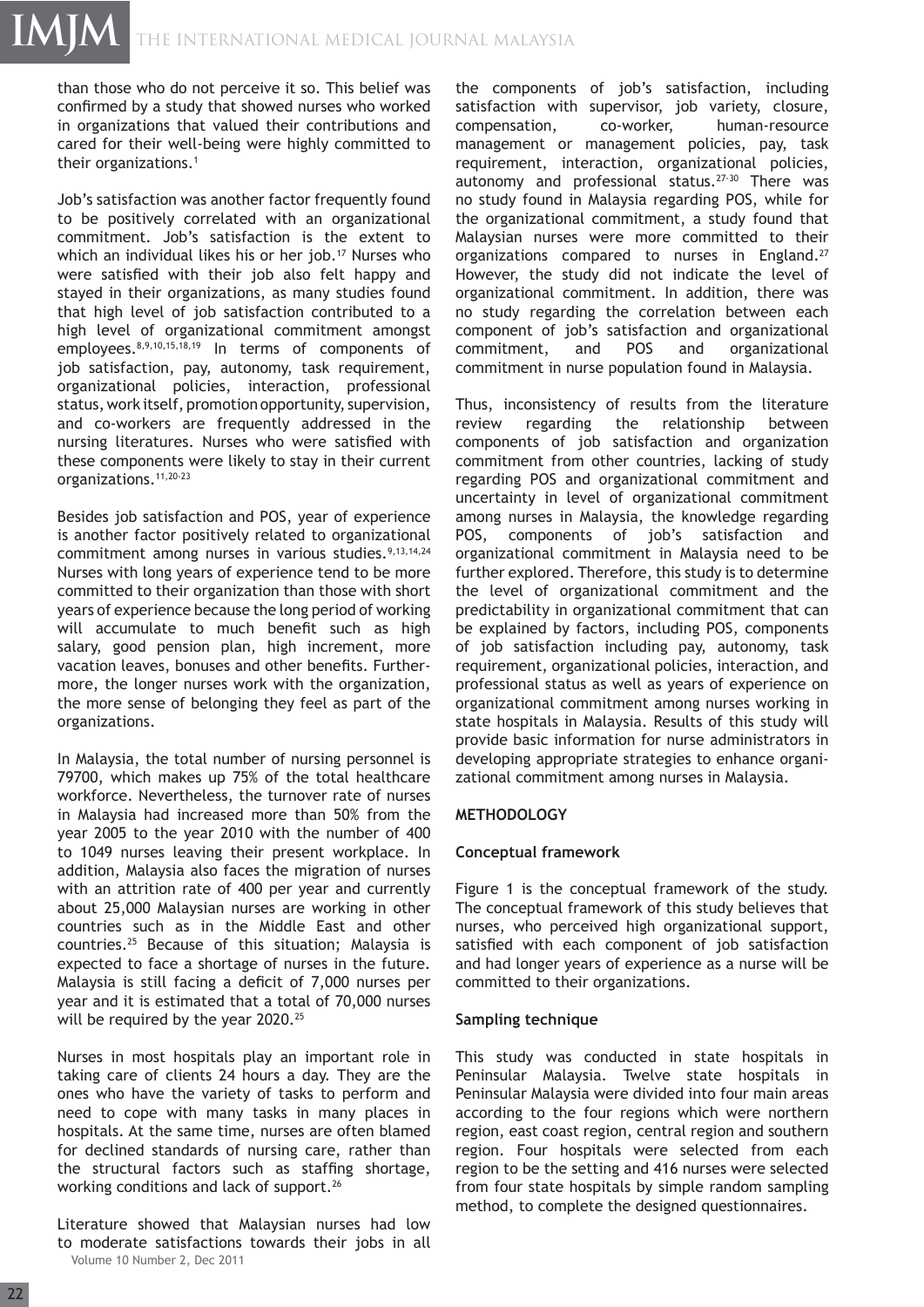than those who do not perceive it so. This belief was confirmed by a study that showed nurses who worked in organizations that valued their contributions and cared for their well-being were highly committed to their organizations.1

Job's satisfaction was another factor frequently found to be positively correlated with an organizational commitment. Job's satisfaction is the extent to which an individual likes his or her job.<sup>17</sup> Nurses who were satisfied with their job also felt happy and stayed in their organizations, as many studies found that high level of job satisfaction contributed to a high level of organizational commitment amongst employees.8,9,10,15,18,19 In terms of components of job satisfaction, pay, autonomy, task requirement, organizational policies, interaction, professional status, work itself, promotion opportunity, supervision, and co-workers are frequently addressed in the nursing literatures. Nurses who were satisfied with these components were likely to stay in their current organizations.11,20-23

Besides job satisfaction and POS, year of experience is another factor positively related to organizational commitment among nurses in various studies.<sup>9,13,14,24</sup> Nurses with long years of experience tend to be more committed to their organization than those with short years of experience because the long period of working will accumulate to much benefit such as high salary, good pension plan, high increment, more vacation leaves, bonuses and other benefits. Furthermore, the longer nurses work with the organization, the more sense of belonging they feel as part of the organizations.

In Malaysia, the total number of nursing personnel is 79700, which makes up 75% of the total healthcare workforce. Nevertheless, the turnover rate of nurses in Malaysia had increased more than 50% from the year 2005 to the year 2010 with the number of 400 to 1049 nurses leaving their present workplace. In addition, Malaysia also faces the migration of nurses with an attrition rate of 400 per year and currently about 25,000 Malaysian nurses are working in other countries such as in the Middle East and other countries.25 Because of this situation; Malaysia is expected to face a shortage of nurses in the future. Malaysia is still facing a deficit of 7,000 nurses per year and it is estimated that a total of 70,000 nurses will be required by the year 2020.<sup>25</sup>

Nurses in most hospitals play an important role in taking care of clients 24 hours a day. They are the ones who have the variety of tasks to perform and need to cope with many tasks in many places in hospitals. At the same time, nurses are often blamed for declined standards of nursing care, rather than the structural factors such as staffing shortage, working conditions and lack of support.<sup>26</sup>

Volume 10 Number 2, Dec 2011 Literature showed that Malaysian nurses had low to moderate satisfactions towards their jobs in all

the components of job's satisfaction, including satisfaction with supervisor, job variety, closure, compensation, co-worker, human-resource management or management policies, pay, task requirement, interaction, organizational policies, autonomy and professional status.27-30 There was no study found in Malaysia regarding POS, while for the organizational commitment, a study found that Malaysian nurses were more committed to their organizations compared to nurses in England.27 However, the study did not indicate the level of organizational commitment. In addition, there was no study regarding the correlation between each component of job's satisfaction and organizational commitment, and POS and organizational commitment in nurse population found in Malaysia.

Thus, inconsistency of results from the literature review regarding the relationship between components of job satisfaction and organization commitment from other countries, lacking of study regarding POS and organizational commitment and uncertainty in level of organizational commitment among nurses in Malaysia, the knowledge regarding POS, components of job's satisfaction and organizational commitment in Malaysia need to be further explored. Therefore, this study is to determine the level of organizational commitment and the predictability in organizational commitment that can be explained by factors, including POS, components of job satisfaction including pay, autonomy, task requirement, organizational policies, interaction, and professional status as well as years of experience on organizational commitment among nurses working in state hospitals in Malaysia. Results of this study will provide basic information for nurse administrators in developing appropriate strategies to enhance organizational commitment among nurses in Malaysia.

# **METHODOLOGY**

# **Conceptual framework**

Figure 1 is the conceptual framework of the study. The conceptual framework of this study believes that nurses, who perceived high organizational support, satisfied with each component of job satisfaction and had longer years of experience as a nurse will be committed to their organizations.

### **Sampling technique**

This study was conducted in state hospitals in Peninsular Malaysia. Twelve state hospitals in Peninsular Malaysia were divided into four main areas according to the four regions which were northern region, east coast region, central region and southern region. Four hospitals were selected from each region to be the setting and 416 nurses were selected from four state hospitals by simple random sampling method, to complete the designed questionnaires.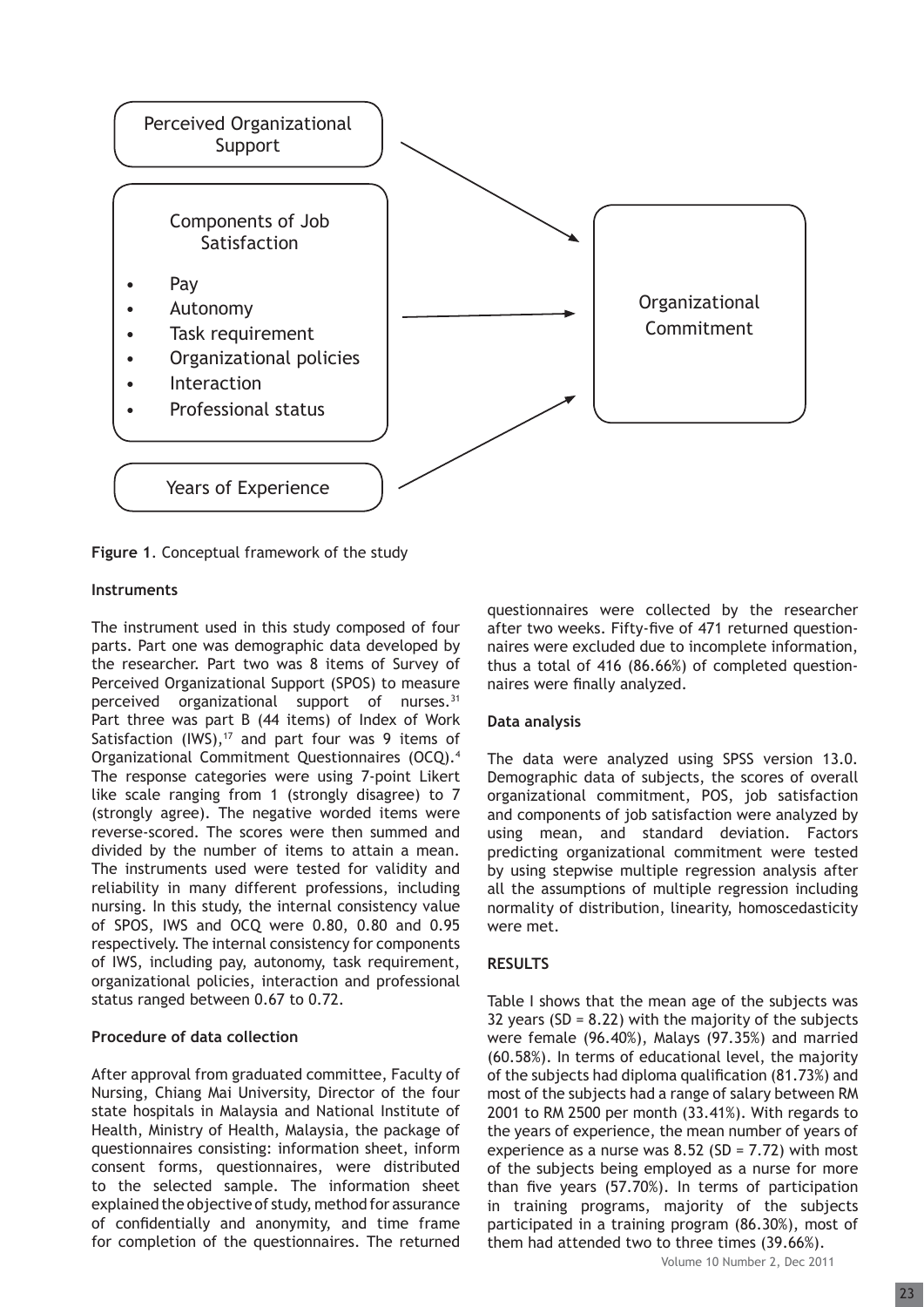

**Figure 1**. Conceptual framework of the study

# **Instruments**

The instrument used in this study composed of four parts. Part one was demographic data developed by the researcher. Part two was 8 items of Survey of Perceived Organizational Support (SPOS) to measure perceived organizational support of nurses.<sup>31</sup> Part three was part B (44 items) of Index of Work Satisfaction  $(IWS),<sup>17</sup>$  and part four was 9 items of Organizational Commitment Questionnaires (OCQ).4 The response categories were using 7-point Likert like scale ranging from 1 (strongly disagree) to 7 (strongly agree). The negative worded items were reverse-scored. The scores were then summed and divided by the number of items to attain a mean. The instruments used were tested for validity and reliability in many different professions, including nursing. In this study, the internal consistency value of SPOS, IWS and OCQ were 0.80, 0.80 and 0.95 respectively. The internal consistency for components of IWS, including pay, autonomy, task requirement, organizational policies, interaction and professional status ranged between 0.67 to 0.72.

# **Procedure of data collection**

After approval from graduated committee, Faculty of Nursing, Chiang Mai University, Director of the four state hospitals in Malaysia and National Institute of Health, Ministry of Health, Malaysia, the package of questionnaires consisting: information sheet, inform consent forms, questionnaires, were distributed to the selected sample. The information sheet explained the objective of study, method for assurance of confidentially and anonymity, and time frame for completion of the questionnaires. The returned questionnaires were collected by the researcher after two weeks. Fifty-five of 471 returned questionnaires were excluded due to incomplete information, thus a total of 416 (86.66%) of completed questionnaires were finally analyzed.

#### **Data analysis**

The data were analyzed using SPSS version 13.0. Demographic data of subjects, the scores of overall organizational commitment, POS, job satisfaction and components of job satisfaction were analyzed by using mean, and standard deviation. Factors predicting organizational commitment were tested by using stepwise multiple regression analysis after all the assumptions of multiple regression including normality of distribution, linearity, homoscedasticity were met.

#### **RESULTS**

Table I shows that the mean age of the subjects was 32 years (SD =  $8.22$ ) with the majority of the subjects were female (96.40%), Malays (97.35%) and married (60.58%). In terms of educational level, the majority of the subjects had diploma qualification  $(81.73%)$  and most of the subjects had a range of salary between RM 2001 to RM 2500 per month (33.41%). With regards to the years of experience, the mean number of years of experience as a nurse was  $8.52$  (SD = 7.72) with most of the subjects being employed as a nurse for more than five years (57.70%). In terms of participation in training programs, majority of the subjects participated in a training program (86.30%), most of them had attended two to three times (39.66%).

Volume 10 Number 2, Dec 2011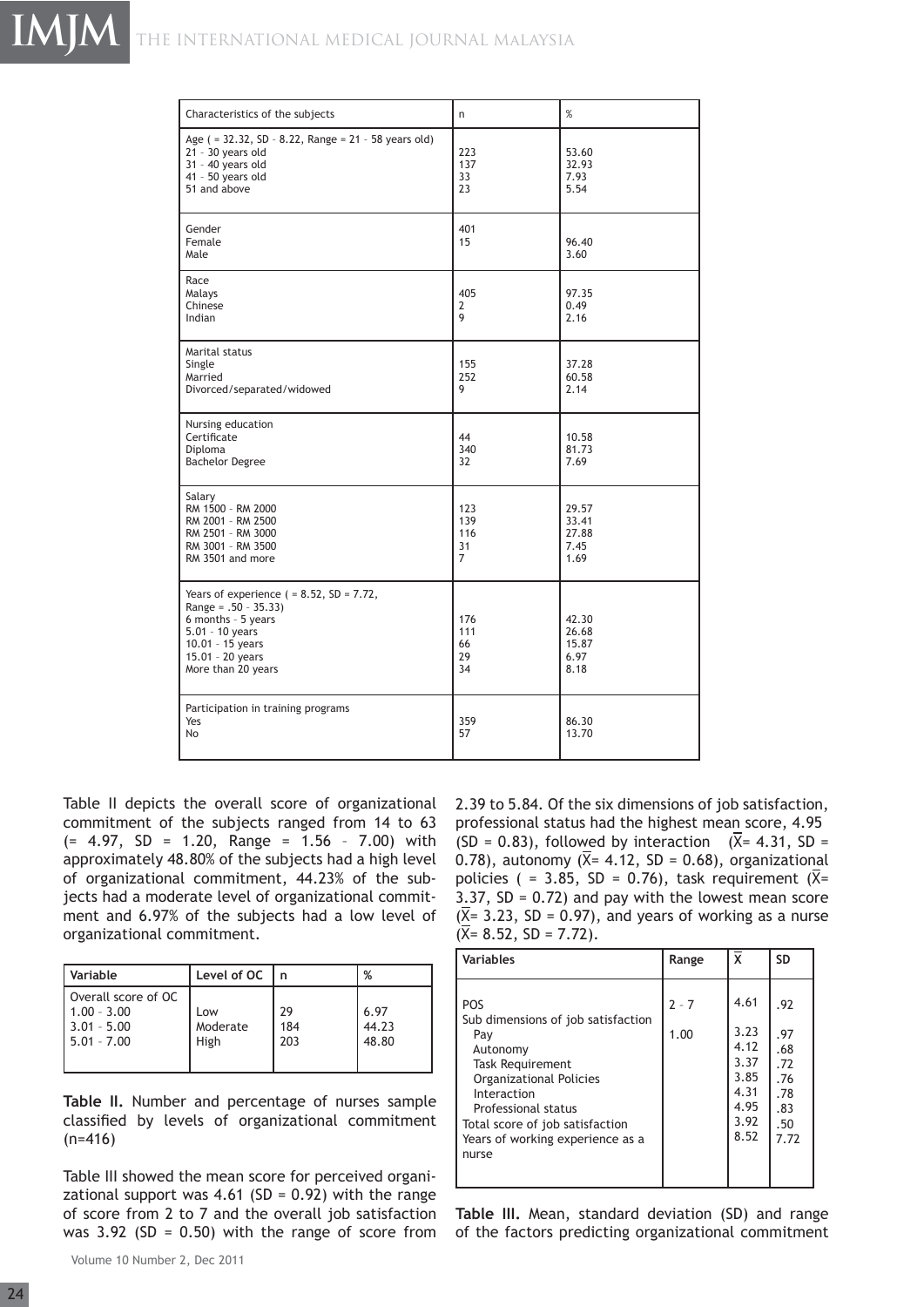| Characteristics of the subjects                                                                                                                                                  | n                            | %                                       |
|----------------------------------------------------------------------------------------------------------------------------------------------------------------------------------|------------------------------|-----------------------------------------|
| Age ( = 32.32, SD - 8.22, Range = 21 - 58 years old)<br>21 - 30 years old<br>$31 - 40$ years old<br>41 - 50 years old<br>51 and above                                            | 223<br>137<br>33<br>23       | 53.60<br>32.93<br>7.93<br>5.54          |
| Gender<br>Female<br>Male                                                                                                                                                         | 401<br>15                    | 96.40<br>3.60                           |
| Race<br>Malays<br>Chinese<br>Indian                                                                                                                                              | 405<br>2<br>9                | 97.35<br>0.49<br>2.16                   |
| Marital status<br>Single<br>Married<br>Divorced/separated/widowed                                                                                                                | 155<br>252<br>9              | 37.28<br>60.58<br>2.14                  |
| Nursing education<br>Certificate<br>Diploma<br><b>Bachelor Degree</b>                                                                                                            | 44<br>340<br>32              | 10.58<br>81.73<br>7.69                  |
| Salary<br>RM 1500 - RM 2000<br>RM 2001 - RM 2500<br>RM 2501 - RM 3000<br>RM 3001 - RM 3500<br>RM 3501 and more                                                                   | 123<br>139<br>116<br>31<br>7 | 29.57<br>33.41<br>27.88<br>7.45<br>1.69 |
| Years of experience $( = 8.52, SD = 7.72,$<br>Range = $.50 - 35.33$ )<br>6 months - 5 years<br>$5.01 - 10$ years<br>$10.01 - 15$ years<br>15.01 - 20 years<br>More than 20 years | 176<br>111<br>66<br>29<br>34 | 42.30<br>26.68<br>15.87<br>6.97<br>8.18 |
| Participation in training programs<br>Yes<br>No                                                                                                                                  | 359<br>57                    | 86.30<br>13.70                          |

Table II depicts the overall score of organizational commitment of the subjects ranged from 14 to 63  $(= 4.97, SD = 1.20, Range = 1.56 - 7.00)$  with approximately 48.80% of the subjects had a high level of organizational commitment, 44.23% of the subjects had a moderate level of organizational commitment and 6.97% of the subjects had a low level of organizational commitment.

| Variable                                                               | Level of OC             | n                | %                      |
|------------------------------------------------------------------------|-------------------------|------------------|------------------------|
| Overall score of OC<br>$1.00 - 3.00$<br>$3.01 - 5.00$<br>$5.01 - 7.00$ | Low<br>Moderate<br>High | 29<br>184<br>203 | 6.97<br>44.23<br>48.80 |

**Table II.** Number and percentage of nurses sample classified by levels of organizational commitment (n=416)

Table III showed the mean score for perceived organizational support was 4.61 (SD =  $0.92$ ) with the range of score from 2 to 7 and the overall job satisfaction was  $3.92$  (SD = 0.50) with the range of score from

2.39 to 5.84. Of the six dimensions of job satisfaction, professional status had the highest mean score, 4.95 (SD = 0.83), followed by interaction  $(\overline{X}$ = 4.31, SD = 0.78), autonomy ( $\bar{X}$ = 4.12, SD = 0.68), organizational policies ( = 3.85, SD = 0.76), task requirement  $(\overline{X}$ = 3.37,  $SD = 0.72$ ) and pay with the lowest mean score  $(\overline{X}$ = 3.23, SD = 0.97), and years of working as a nurse  $(\overline{X} = 8.52, SD = 7.72).$ 

| <b>Variables</b>                                                                                                                                                                                                                                | Range           | X                                                                    | <b>SD</b>                                                    |
|-------------------------------------------------------------------------------------------------------------------------------------------------------------------------------------------------------------------------------------------------|-----------------|----------------------------------------------------------------------|--------------------------------------------------------------|
| <b>POS</b><br>Sub dimensions of job satisfaction<br>Pay<br>Autonomy<br><b>Task Requirement</b><br>Organizational Policies<br>Interaction<br>Professional status<br>Total score of job satisfaction<br>Years of working experience as a<br>nurse | $2 - 7$<br>1.00 | 4.61<br>3.23<br>4.12<br>3.37<br>3.85<br>4.31<br>4.95<br>3.92<br>8.52 | .92<br>.97<br>.68<br>.72<br>.76<br>.78<br>.83<br>.50<br>7.72 |

**Table III.** Mean, standard deviation (SD) and range of the factors predicting organizational commitment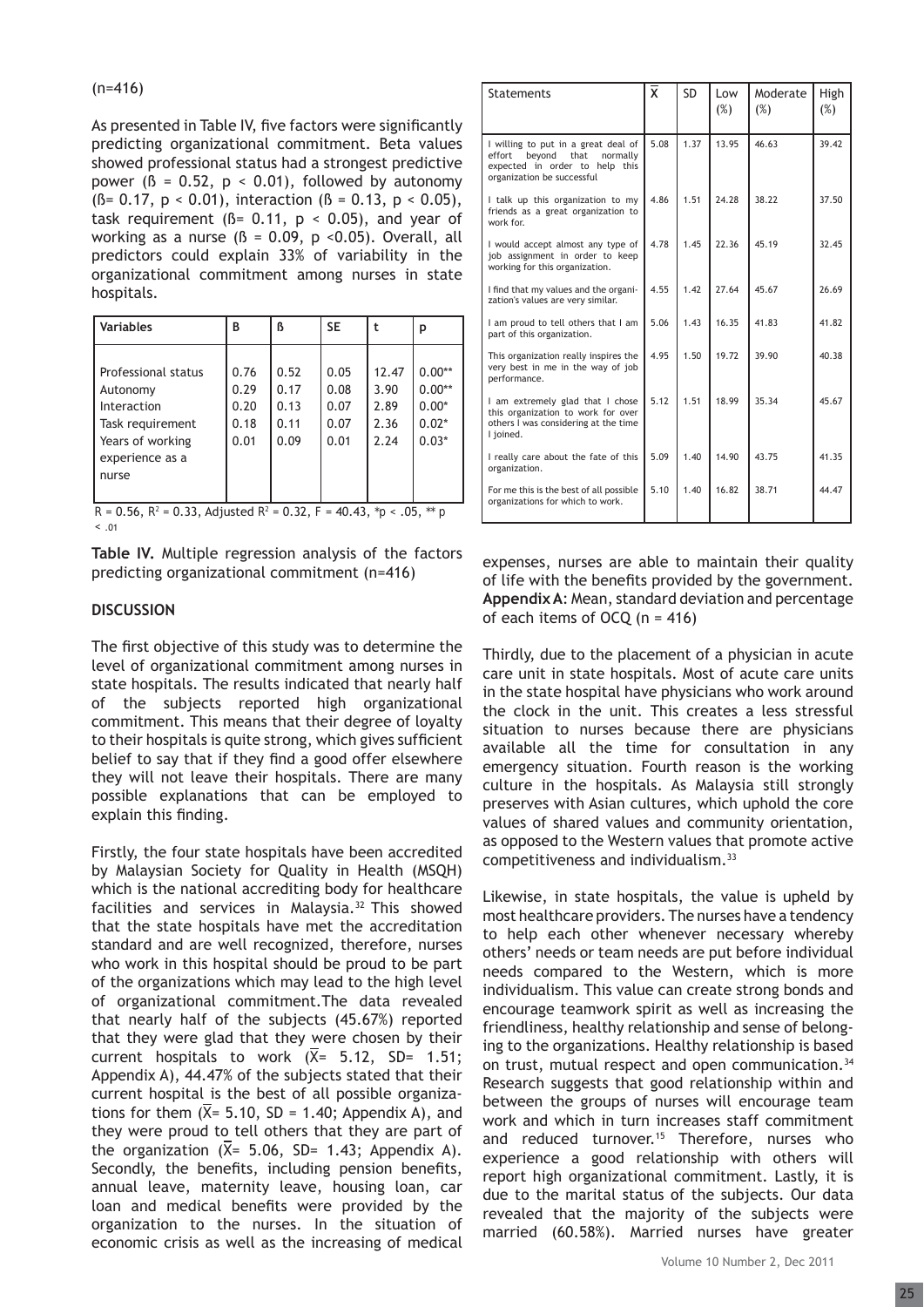As presented in Table IV, five factors were significantly predicting organizational commitment. Beta values showed professional status had a strongest predictive power ( $\beta$  = 0.52,  $p \le 0.01$ ), followed by autonomy  $(\beta = 0.17, p < 0.01)$ , interaction  $(\beta = 0.13, p < 0.05)$ , task requirement ( $\beta$ = 0.11,  $p$  < 0.05), and year of working as a nurse ( $\beta$  = 0.09, p < 0.05). Overall, all predictors could explain 33% of variability in the organizational commitment among nurses in state hospitals.

| <b>Variables</b>                                                                                                   | В                                    | ß                                    | <b>SE</b>                            |                                       | р                                                     |
|--------------------------------------------------------------------------------------------------------------------|--------------------------------------|--------------------------------------|--------------------------------------|---------------------------------------|-------------------------------------------------------|
| Professional status<br>Autonomy<br>Interaction<br>Task requirement<br>Years of working<br>experience as a<br>nurse | 0.76<br>0.29<br>0.20<br>0.18<br>0.01 | 0.52<br>0.17<br>0.13<br>0.11<br>0.09 | 0.05<br>0.08<br>0.07<br>0.07<br>0.01 | 12.47<br>3.90<br>2.89<br>2.36<br>2.24 | $0.00**$<br>$0.00**$<br>$0.00*$<br>$0.02*$<br>$0.03*$ |

 $R = 0.56$ ,  $R^2 = 0.33$ , Adjusted  $R^2 = 0.32$ ,  $F = 40.43$ ,  $p^2$  < .05,  $p^*$ < .01

**Table IV.** Multiple regression analysis of the factors predicting organizational commitment (n=416)

# **DISCUSSION**

The first objective of this study was to determine the level of organizational commitment among nurses in state hospitals. The results indicated that nearly half of the subjects reported high organizational commitment. This means that their degree of loyalty to their hospitals is quite strong, which gives sufficient belief to say that if they find a good offer elsewhere they will not leave their hospitals. There are many possible explanations that can be employed to explain this finding.

Firstly, the four state hospitals have been accredited by Malaysian Society for Quality in Health (MSQH) which is the national accrediting body for healthcare facilities and services in Malaysia.<sup>32</sup> This showed that the state hospitals have met the accreditation standard and are well recognized, therefore, nurses who work in this hospital should be proud to be part of the organizations which may lead to the high level of organizational commitment.The data revealed that nearly half of the subjects (45.67%) reported that they were glad that they were chosen by their current hospitals to work  $(X= 5.12, SD= 1.51;$ Appendix A), 44.47% of the subjects stated that their current hospital is the best of all possible organizations for them  $(X = 5.10, SD = 1.40;$  Appendix A), and they were proud to tell others that they are part of the organization  $(X= 5.06, SD= 1.43;$  Appendix A). Secondly, the benefits, including pension benefits, annual leave, maternity leave, housing loan, car loan and medical benefits were provided by the organization to the nurses. In the situation of economic crisis as well as the increasing of medical

| <b>Statements</b>                                                                                                                           | $\bar{\mathsf{x}}$ | <b>SD</b> | Low<br>$(\%)$ | Moderate<br>(%) | High<br>(%) |
|---------------------------------------------------------------------------------------------------------------------------------------------|--------------------|-----------|---------------|-----------------|-------------|
| I willing to put in a great deal of<br>bevond<br>effort<br>that<br>normally<br>expected in order to help this<br>organization be successful | 5.08               | 1.37      | 13.95         | 46.63           | 39.42       |
| I talk up this organization to my<br>friends as a great organization to<br>work for.                                                        | 4.86               | 1.51      | 24.28         | 38.22           | 37.50       |
| I would accept almost any type of<br>job assignment in order to keep<br>working for this organization.                                      | 4.78               | 1.45      | 22.36         | 45.19           | 32.45       |
| I find that my values and the organi-<br>zation's values are very similar.                                                                  | 4.55               | 1.42      | 27.64         | 45.67           | 26.69       |
| I am proud to tell others that I am<br>part of this organization.                                                                           | 5.06               | 1.43      | 16 35         | 41 83           | 41 82       |
| This organization really inspires the<br>very best in me in the way of job<br>performance.                                                  | 4.95               | 1.50      | 19 72         | 39.90           | 40.38       |
| I am extremely glad that I chose<br>this organization to work for over<br>others I was considering at the time<br>I joined.                 | 5.12               | 1.51      | 18.99         | 35.34           | 45.67       |
| I really care about the fate of this<br>organization.                                                                                       | 5.09               | 1.40      | 14 90         | 43 75           | 41.35       |
| For me this is the best of all possible<br>organizations for which to work.                                                                 | 5.10               | 1.40      | 16.82         | 38.71           | 44.47       |

expenses, nurses are able to maintain their quality of life with the benefits provided by the government. **Appendix A**: Mean, standard deviation and percentage of each items of OCQ  $(n = 416)$ 

Thirdly, due to the placement of a physician in acute care unit in state hospitals. Most of acute care units in the state hospital have physicians who work around the clock in the unit. This creates a less stressful situation to nurses because there are physicians available all the time for consultation in any emergency situation. Fourth reason is the working culture in the hospitals. As Malaysia still strongly preserves with Asian cultures, which uphold the core values of shared values and community orientation, as opposed to the Western values that promote active competitiveness and individualism.33

Likewise, in state hospitals, the value is upheld by most healthcare providers. The nurses have a tendency to help each other whenever necessary whereby others' needs or team needs are put before individual needs compared to the Western, which is more individualism. This value can create strong bonds and encourage teamwork spirit as well as increasing the friendliness, healthy relationship and sense of belonging to the organizations. Healthy relationship is based on trust, mutual respect and open communication.<sup>34</sup> Research suggests that good relationship within and between the groups of nurses will encourage team work and which in turn increases staff commitment and reduced turnover.<sup>15</sup> Therefore, nurses who experience a good relationship with others will report high organizational commitment. Lastly, it is due to the marital status of the subjects. Our data revealed that the majority of the subjects were married (60.58%). Married nurses have greater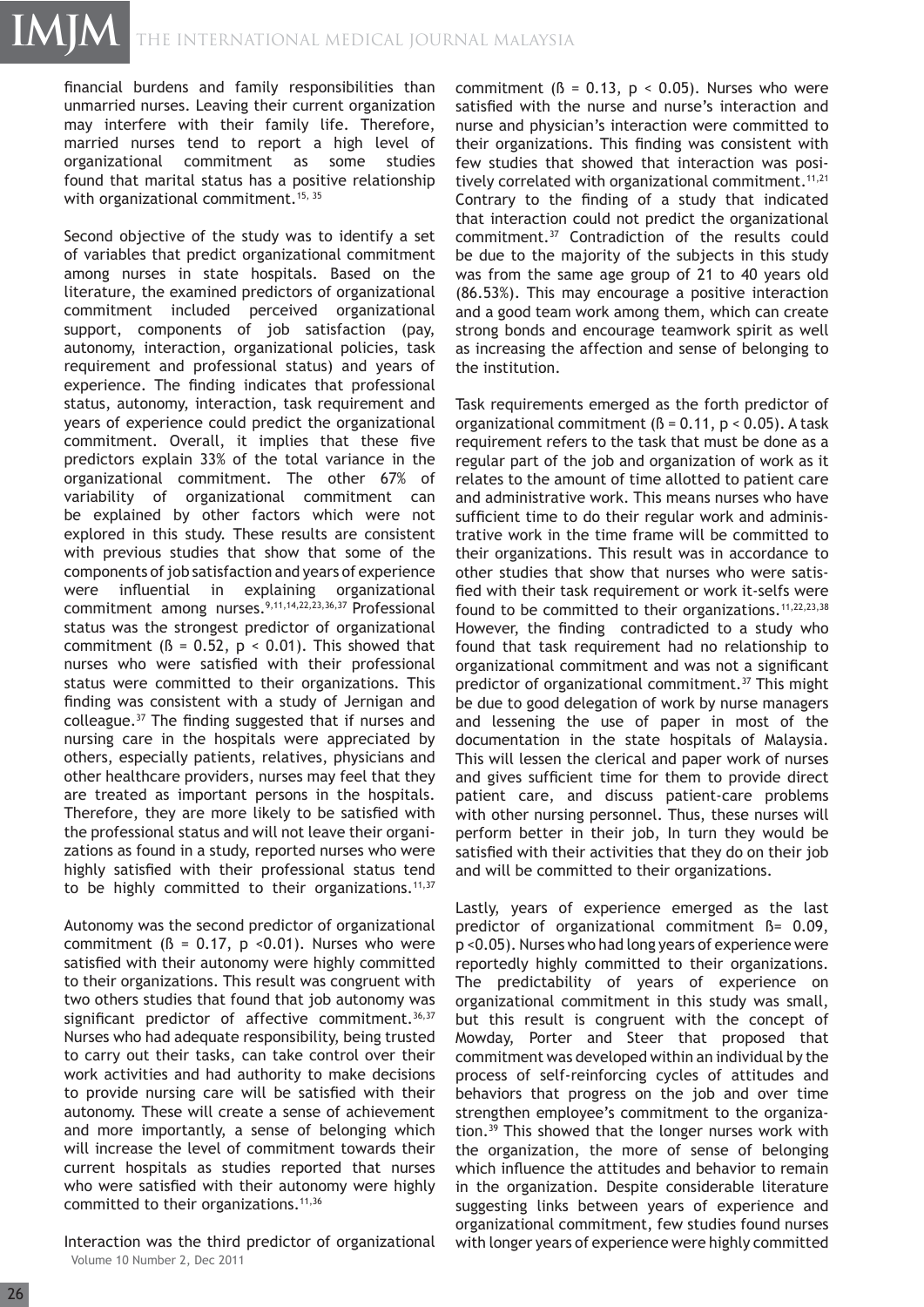financial burdens and family responsibilities than unmarried nurses. Leaving their current organization may interfere with their family life. Therefore, married nurses tend to report a high level of organizational commitment as some studies found that marital status has a positive relationship with organizational commitment.<sup>15, 35</sup>

Second objective of the study was to identify a set of variables that predict organizational commitment among nurses in state hospitals. Based on the literature, the examined predictors of organizational commitment included perceived organizational support, components of job satisfaction (pay, autonomy, interaction, organizational policies, task requirement and professional status) and years of experience. The finding indicates that professional status, autonomy, interaction, task requirement and years of experience could predict the organizational commitment. Overall, it implies that these five predictors explain 33% of the total variance in the organizational commitment. The other 67% of variability of organizational commitment can be explained by other factors which were not explored in this study. These results are consistent with previous studies that show that some of the components of job satisfaction and years of experience were influential in explaining organizational commitment among nurses.<sup>9,11,14,22,23,36,37</sup> Professional status was the strongest predictor of organizational commitment ( $\beta$  = 0.52,  $p$  < 0.01). This showed that nurses who were satisfied with their professional status were committed to their organizations. This finding was consistent with a study of Jernigan and colleague.<sup>37</sup> The finding suggested that if nurses and nursing care in the hospitals were appreciated by others, especially patients, relatives, physicians and other healthcare providers, nurses may feel that they are treated as important persons in the hospitals. Therefore, they are more likely to be satisfied with the professional status and will not leave their organizations as found in a study, reported nurses who were highly satisfied with their professional status tend to be highly committed to their organizations. $11,37$ 

Autonomy was the second predictor of organizational commitment ( $\beta$  = 0.17, p < 0.01). Nurses who were satisfied with their autonomy were highly committed to their organizations. This result was congruent with two others studies that found that job autonomy was significant predictor of affective commitment.  $36,37$ Nurses who had adequate responsibility, being trusted to carry out their tasks, can take control over their work activities and had authority to make decisions to provide nursing care will be satisfied with their autonomy. These will create a sense of achievement and more importantly, a sense of belonging which will increase the level of commitment towards their current hospitals as studies reported that nurses who were satisfied with their autonomy were highly committed to their organizations.<sup>11,36</sup>

Volume 10 Number 2, Dec 2011 Interaction was the third predictor of organizational commitment ( $\beta$  = 0.13,  $p$  < 0.05). Nurses who were satisfied with the nurse and nurse's interaction and nurse and physician's interaction were committed to their organizations. This finding was consistent with few studies that showed that interaction was positively correlated with organizational commitment.<sup>11,21</sup> Contrary to the finding of a study that indicated that interaction could not predict the organizational commitment.37 Contradiction of the results could be due to the majority of the subjects in this study was from the same age group of 21 to 40 years old (86.53%). This may encourage a positive interaction and a good team work among them, which can create strong bonds and encourage teamwork spirit as well as increasing the affection and sense of belonging to the institution.

Task requirements emerged as the forth predictor of organizational commitment ( $\beta$  = 0.11, p < 0.05). A task requirement refers to the task that must be done as a regular part of the job and organization of work as it relates to the amount of time allotted to patient care and administrative work. This means nurses who have sufficient time to do their regular work and administrative work in the time frame will be committed to their organizations. This result was in accordance to other studies that show that nurses who were satisfied with their task requirement or work it-selfs were found to be committed to their organizations. $11,22,23,38$ However, the finding contradicted to a study who found that task requirement had no relationship to organizational commitment and was not a significant predictor of organizational commitment.<sup>37</sup> This might be due to good delegation of work by nurse managers and lessening the use of paper in most of the documentation in the state hospitals of Malaysia. This will lessen the clerical and paper work of nurses and gives sufficient time for them to provide direct patient care, and discuss patient-care problems with other nursing personnel. Thus, these nurses will perform better in their job, In turn they would be satisfied with their activities that they do on their job and will be committed to their organizations.

Lastly, years of experience emerged as the last predictor of organizational commitment ß= 0.09, p <0.05). Nurses who had long years of experience were reportedly highly committed to their organizations. The predictability of years of experience on organizational commitment in this study was small, but this result is congruent with the concept of Mowday, Porter and Steer that proposed that commitment was developed within an individual by the process of self-reinforcing cycles of attitudes and behaviors that progress on the job and over time strengthen employee's commitment to the organization.39 This showed that the longer nurses work with the organization, the more of sense of belonging which influence the attitudes and behavior to remain in the organization. Despite considerable literature suggesting links between years of experience and organizational commitment, few studies found nurses with longer years of experience were highly committed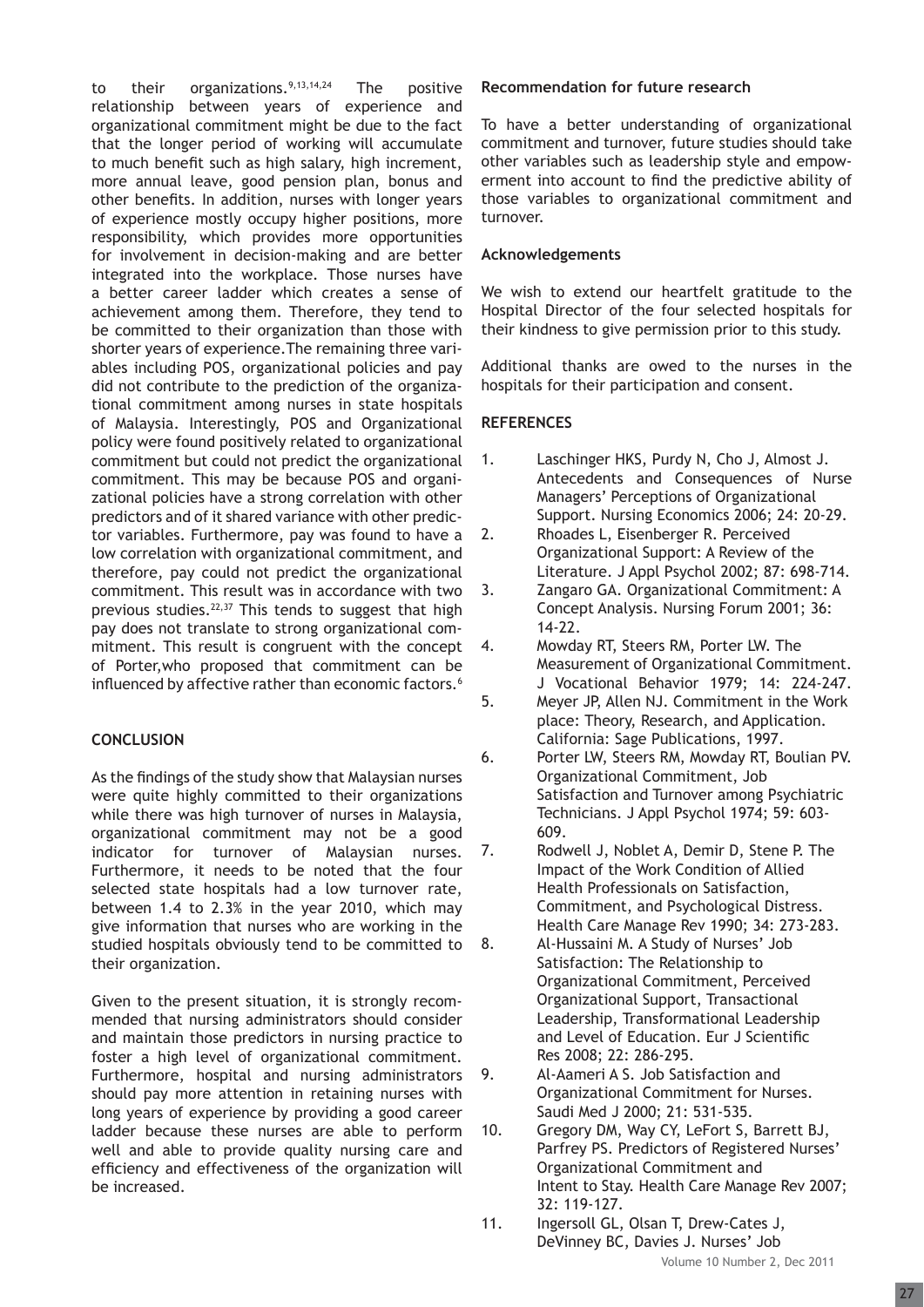to their organizations.  $9,13,14,24$  The positive relationship between years of experience and organizational commitment might be due to the fact that the longer period of working will accumulate to much benefit such as high salary, high increment, more annual leave, good pension plan, bonus and other benefits. In addition, nurses with longer years of experience mostly occupy higher positions, more responsibility, which provides more opportunities for involvement in decision-making and are better integrated into the workplace. Those nurses have a better career ladder which creates a sense of achievement among them. Therefore, they tend to be committed to their organization than those with shorter years of experience.The remaining three variables including POS, organizational policies and pay did not contribute to the prediction of the organizational commitment among nurses in state hospitals of Malaysia. Interestingly, POS and Organizational policy were found positively related to organizational commitment but could not predict the organizational commitment. This may be because POS and organizational policies have a strong correlation with other predictors and of it shared variance with other predictor variables. Furthermore, pay was found to have a low correlation with organizational commitment, and therefore, pay could not predict the organizational commitment. This result was in accordance with two previous studies.<sup>22,37</sup> This tends to suggest that high pay does not translate to strong organizational commitment. This result is congruent with the concept of Porter,who proposed that commitment can be influenced by affective rather than economic factors.<sup>6</sup>

# **CONCLUSION**

As the findings of the study show that Malaysian nurses were quite highly committed to their organizations while there was high turnover of nurses in Malaysia, organizational commitment may not be a good indicator for turnover of Malaysian nurses. Furthermore, it needs to be noted that the four selected state hospitals had a low turnover rate, between 1.4 to 2.3% in the year 2010, which may give information that nurses who are working in the studied hospitals obviously tend to be committed to their organization.

Given to the present situation, it is strongly recommended that nursing administrators should consider and maintain those predictors in nursing practice to foster a high level of organizational commitment. Furthermore, hospital and nursing administrators should pay more attention in retaining nurses with long years of experience by providing a good career ladder because these nurses are able to perform well and able to provide quality nursing care and efficiency and effectiveness of the organization will be increased.

#### **Recommendation for future research**

To have a better understanding of organizational commitment and turnover, future studies should take other variables such as leadership style and empowerment into account to find the predictive ability of those variables to organizational commitment and turnover.

#### **Acknowledgements**

We wish to extend our heartfelt gratitude to the Hospital Director of the four selected hospitals for their kindness to give permission prior to this study.

Additional thanks are owed to the nurses in the hospitals for their participation and consent.

#### **REFERENCES**

- 1. Laschinger HKS, Purdy N, Cho J, Almost J. Antecedents and Consequences of Nurse Managers' Perceptions of Organizational Support. Nursing Economics 2006; 24: 20-29.
- 2. Rhoades L, Eisenberger R. Perceived Organizational Support: A Review of the Literature. J Appl Psychol 2002; 87: 698-714.
- 3. Zangaro GA. Organizational Commitment: A Concept Analysis. Nursing Forum 2001; 36: 14-22.
- 4. Mowday RT, Steers RM, Porter LW. The Measurement of Organizational Commitment. J Vocational Behavior 1979; 14: 224-247.
- 5. Meyer JP, Allen NJ. Commitment in the Work place: Theory, Research, and Application. California: Sage Publications, 1997.
- 6. Porter LW, Steers RM, Mowday RT, Boulian PV. Organizational Commitment, Job Satisfaction and Turnover among Psychiatric Technicians. J Appl Psychol 1974; 59: 603- 609.
- 7. Rodwell J, Noblet A, Demir D, Stene P. The Impact of the Work Condition of Allied Health Professionals on Satisfaction, Commitment, and Psychological Distress. Health Care Manage Rev 1990; 34: 273-283.
- 8. Al-Hussaini M. A Study of Nurses' Job Satisfaction: The Relationship to Organizational Commitment, Perceived Organizational Support, Transactional Leadership, Transformational Leadership and Level of Education. Eur J Scientific Res 2008; 22: 286-295.
- 9. Al-Aameri A S. Job Satisfaction and Organizational Commitment for Nurses. Saudi Med J 2000; 21: 531-535.
- 10. Gregory DM, Way CY, LeFort S, Barrett BJ, Parfrey PS. Predictors of Registered Nurses' Organizational Commitment and Intent to Stay. Health Care Manage Rev 2007; 32: 119-127.
- 11. Ingersoll GL, Olsan T, Drew-Cates J, DeVinney BC, Davies J. Nurses' Job

Volume 10 Number 2, Dec 2011